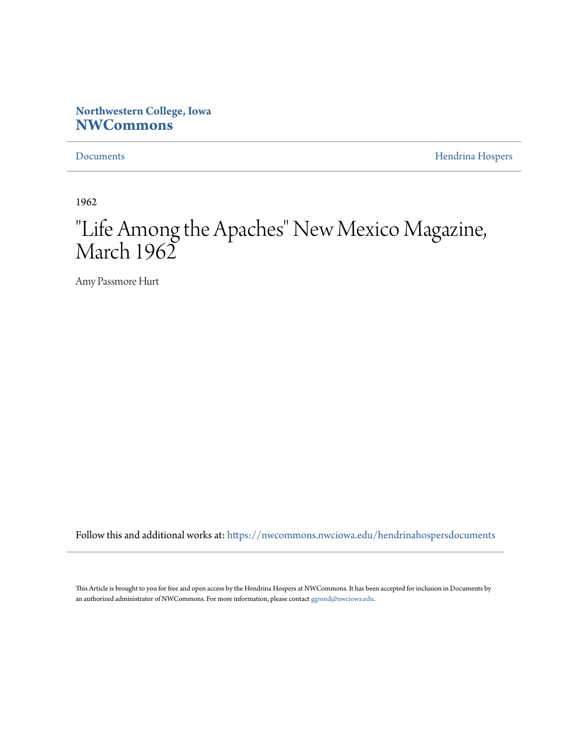## **Northwestern College, Iowa [NWCommons](https://nwcommons.nwciowa.edu?utm_source=nwcommons.nwciowa.edu%2Fhendrinahospersdocuments%2F2&utm_medium=PDF&utm_campaign=PDFCoverPages)**

[Documents](https://nwcommons.nwciowa.edu/hendrinahospersdocuments?utm_source=nwcommons.nwciowa.edu%2Fhendrinahospersdocuments%2F2&utm_medium=PDF&utm_campaign=PDFCoverPages) **[Hendrina Hospers](https://nwcommons.nwciowa.edu/hendrinahosperscollection?utm_source=nwcommons.nwciowa.edu%2Fhendrinahospersdocuments%2F2&utm_medium=PDF&utm_campaign=PDFCoverPages)** 

1962

# "Life Among the Apaches" New Mexico Magazine, March 1962

Amy Passmore Hurt

Follow this and additional works at: [https://nwcommons.nwciowa.edu/hendrinahospersdocuments](https://nwcommons.nwciowa.edu/hendrinahospersdocuments?utm_source=nwcommons.nwciowa.edu%2Fhendrinahospersdocuments%2F2&utm_medium=PDF&utm_campaign=PDFCoverPages)

This Article is brought to you for free and open access by the Hendrina Hospers at NWCommons. It has been accepted for inclusion in Documents by an authorized administrator of NWCommons. For more information, please contact [ggrond@nwciowa.edu](mailto:ggrond@nwciowa.edu).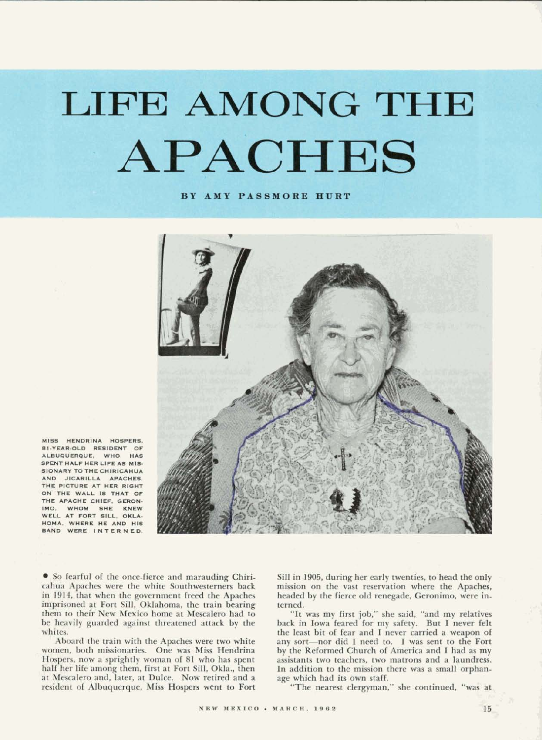# **LIFE AMONG** THE APACHES

**BY AMY PASSMORE HURT** 



MISS HENDRINA HOSPERS. **B1-YEAR-OLD RESIDENT OF** ALBUQUERQUE, WHO HAS SPENT HALF HER LIFE AS MIS-SIONARY TO THE CHIRICAHUA AND JICARILLA APACHES. THE PICTURE AT HER RIGHT ON THE WALL IS THAT OF THE APACHE CHIEF, GERON-IMO, WHOM SHE KNEW WELL AT FORT SILL, OKLA-HOMA, WHERE HE AND HIS BAND WERE INTERNED.

**So** fearful of the once-fierce and marauding Chiricahua Apaches were the white Southwesterners back in 1914, that when the government freed the Apaches imprisoned at Fort Sill, Oklahoma, the train bearing them to their New Mexico home at **Mescalem** had to **be** heavily guarded against threatened attack by the whites.

Aboard the train with the Apaches were two white women, both missionaries. One was **Miss** Hendrina Hospers, now a sprightly woman of 81 who has spent half her life among them, first at Fort Sill, Okla., then at Mescalero and, later, at Dulce. Now retired and a resident of Albuquerque, **Miss** Hospers went to Fort

Sill in 1905, during her early twenties, to head the only mission on the vast reservation where the Apaches, headed by the fierce old renegade, Geronimo, were interned.

"It was my first job," she said, "and my relatives back in Iowa feared for my safety. But I never felt the least bit of fear and I never carried a weapon of any sort-nor did I need to. I was **sent** to the Fort by the Reformed Church of America and I had as my assistants two teachers, two matrons and a laundress. In addition to the mission there was a small orphanage which had its own staff.

"The nearest clergyman," she continued, "was at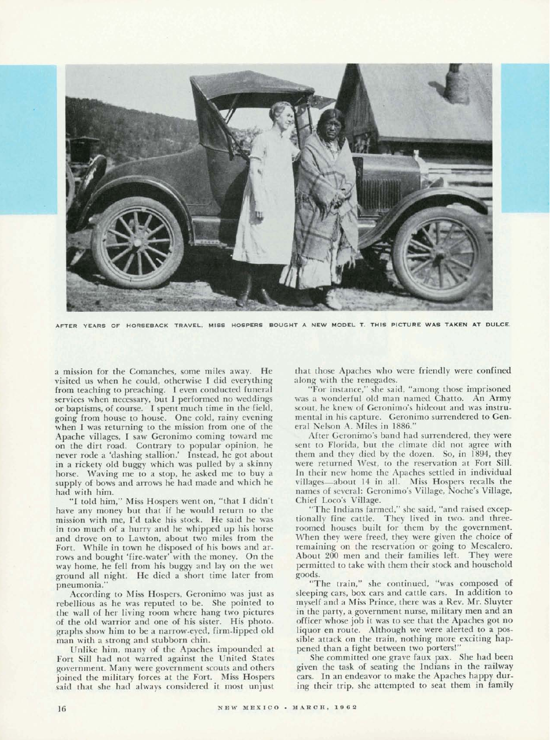

AFTER YEARS OF HORSEBACK TRAVEL, MISS HOSPERS BOUGHT A NEW MODEL T. THIS PICTURE WAS TAKEN AT DULCE.

a mission for the Comanches, some miles away. He visited **us** when he could, otherwise I did everything from teaching to preaching. I even conducted funeral services when necessary, but I performed no weddings or baptisms, of course. I spent much time in the field, going from house to house. One cold, rainy evening when I was returning to the mission from one of the Apache villages, I saw Geronimo coming toward me on the dirt road. Contrary to popular opinion, he never rode a 'dashing stallion.' Instead, he got about in a rickety old buggy which was pulled by a skinny horse. Waving me to a stop, he asked me to buy a supply of **bows** and arrows he had made and which he had with him.

"I told him," Miss Hospers went on, "that I didn't have any money but that if he would return to the mission with me, I'd take his stock. He said he was in too much of a hurry and he whipped up his horse and drove on to Lawton, about two miles from the Fort. While in town he disposed of his bows and arrows and bought 'fire-water' with the money. On the way home, he fell from his buggy and lay on the wet ground all night. He died a short time later from pneumonia."

According to Miss Hospers, Geronimo was just as rebellious as he was reputed to be. She pointed to the wall of her living room where hang two pictures of the old warrior and one of his sister. His photographs show him to be a narrow-eyed, firm-lipped old man with a strong and stubborn chin.

Unlike him, many of the Apaches impounded at Fort Sill had not warred against the United States government. Many were government scouts and others joined the military forces at the Fort. Miss Hospers said that she had always considered it most unjust

that those Apaches who were friendly were confined along with the renegades.

"For instance," she said, "among those imprisoned was a wonderful old man named Chatto. An Army scout, he knew of Geronimo's hideout and was instrumental in his capture. Geronimo surrendered to General Nelson A. Miles in 1886."

After Geronimo's band had surrendered, they were sent to Florida, but the climate did not agree with them and they died by the dozen. So, in 1894, they were returned West, to the reservation at Fort Sill. In their new home the Apaches settled in individual villages-about 14 in all. Miss Hospers recalls the names of several: Geronimo's Village, Noche's Village, Chief Loco's Village.

The Indians farmed," she said, "and raised exceptionally fine cattle. They lived in two- and threeroomed houses built for them by the government. When they were freed, they were given the choice of remaining on the reservation or going to Mescalero. About 200 men and their families left. They were permitted to take with them their stock and household

**goods-** "The train," she continued, "was composed of sleeping cars, box **cars** and cattle cars. In addition to myself and a Miss Prince, there was a Rev. Mr. Sluyter in the party, a government nurse, military men and an officer whose job it was to see that the Apaches got no liquor en route. Although we were alerted to a **pos**sible attack on the train, nothing more exciting happened than a fight between two portersl"

She committed one grave faux pax. She had been given the task of seating the Indians in the railway cars. In an endeavor to make the Apaches happy during their trip, she attempted to seat them in family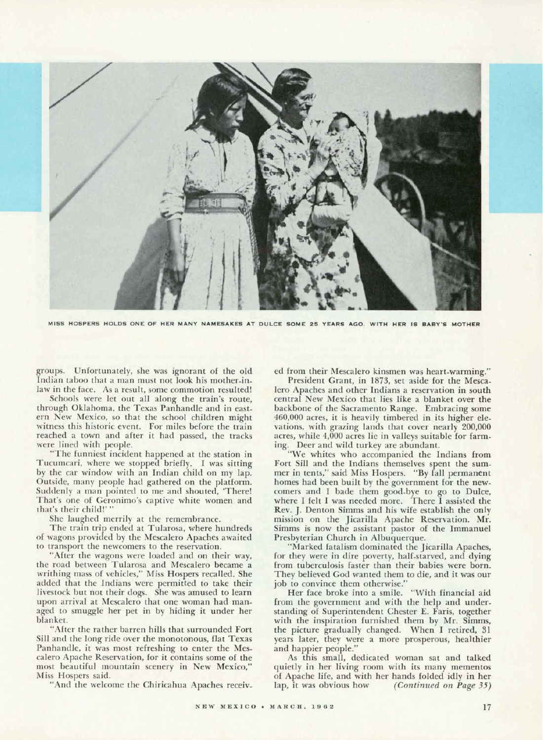

**MISS HOSPERS HOLDS ONE OF HER MANY NAMESAKES AT DULCE SOME 25 YEARS AGO. WITH HER IS BABY'S MOTHER** 

groups. Unfortunately, she was ignorant of the old Indian taboo that a man must not look his mother-inlaw in the face. As a result, some commotion resulted!

Schools were let out all along the train's route, through Oklahoma, the Texas Panhandle and in eastern New Mexico, so that the school children might witness this historic event. For miles before the train reached a town and after it had passed, the tracks were lined with people.

"The funniest incident happened at the station in Tucumcari, where we stopped briefly. I was sitting by the car window with an Indian child on my lap. Outside, many people had gathered on the platform. Suddenly a man pointed to me and shouted, 'There! That's one of Geronimo's captive white women and that's their child!' "

She laughed merrily at the remembrance.

The train trip ended at Tularosa, where hundreds of wagons provided by the Mescalero Apaches awaited to transport the newcomers to the reservation.

"After the wagons were loaded and on their way, the road between Tularosa and Mescalero became a writhing mass of vehicles," Miss Hospers recalled. She added that the Indians were permitted to take their livestock but not their dogs. She was amused to learn upon arrival at Mescalero that one woman had managed to smuggle her pet in by hiding it under her blanket.

"After the rather barren hills that surrounded Fort Sill and the long ride over the monotonous, flat Texas Panhandle, it was most refreshing to enter the Mescalero Apache Reservation, for it contains some of the most beautiful mountain scenery in New Mexico," Miss Hospers said.

"And the welcome the Chiricahua Apaches receiv-

ed from their Mescalero kinsmen was heart-warming."

President Grant, in 1873, set aside for the Mescalero Apaches and other Indians a reservation in south central New Mexico that lies like a blanket over the backbone of the Sacramento Range. Embracing some **460,000** acres, it is heavily timbered in its higher elevations, with grazing lands that cover nearly **200,000**  acres, while **4,000** acres lie in valleys suitable for farming. Deer and wild turkey are abundant.

"We whites who accompanied the Indians from Fort Sill and the Indians themselves spent the summer in tents," said Miss Hospers. "By fall permanent homes had been built by the government for the newcomers and I bade them good-bye to go to Dulce, where I felt I was needed more. There I assisted the Rev. J. Denton Simms and his wife establish the only mission on the Jicarilla Apache Reservation. Mr. Simms is now the assistant pastor of the Immanuel Presbyterian Church in Albuquerque.

"Marked fatalism dominated the Jicarilla Apaches, for they were in dire poverty, half-starved, and dying from tuberculosis faster than their babies were born. They believed God wanted them to die, and it was our

job to convince them otherwise."<br>Her face broke into a smile. "With financial aid Her face broke into a smile. from the government and with the help and understanding of Superintendent Chester E. Faris, together with the inspiration furnished them by Mr. Simms, the picture gradually changed. When I retired, 31 years later, they were a more prosperous, healthier and happier people."

As this small, dedicated woman sat and talked quietly in her living room with its many mementos of Apache life, and with her hands folded idly in her lap, it was obvious how (Continued on Page 35)